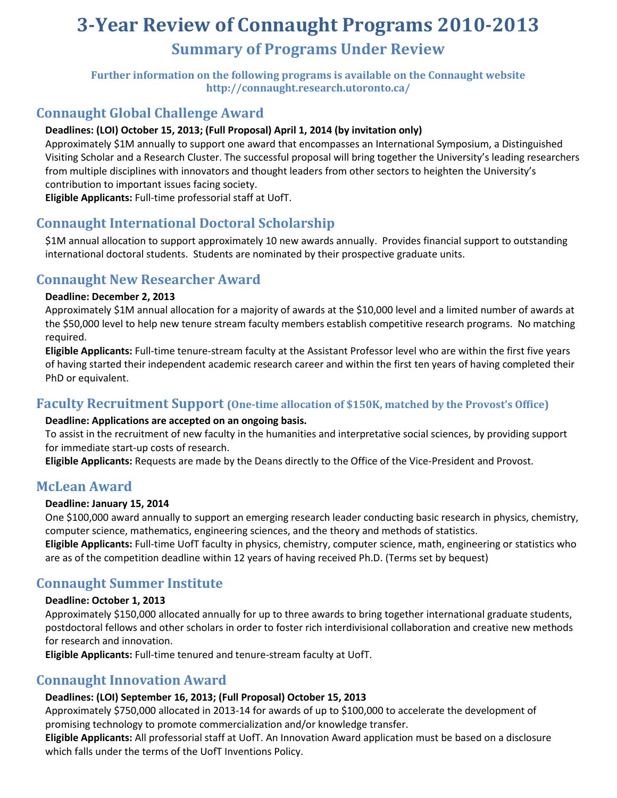# **3-Year Review of Connaught Programs 2010-2013 Summary of Programs Under Review**

**Further information on the following programs is available on the Connaught website <http://connaught.research.utoronto.ca/>**

## **Connaught Global Challenge Award**

## **Deadlines: (LOI) October 15, 2013; (Full Proposal) April 1, 2014 (by invitation only)**

Approximately \$1M annually to support one award that encompasses an International Symposium, a Distinguished Visiting Scholar and a Research Cluster. The successful proposal will bring together the University's leading researchers from multiple disciplines with innovators and thought leaders from other sectors to heighten the University's contribution to important issues facing society.

**Eligible Applicants:** Full-time professorial staff at UofT.

# **Connaught International Doctoral Scholarship**

\$1M annual allocation to support approximately 10 new awards annually. Provides financial support to outstanding international doctoral students. Students are nominated by their prospective graduate units.

## **Connaught New Researcher Award**

#### **Deadline: December 2, 2013**

Approximately \$1M annual allocation for a majority of awards at the \$10,000 level and a limited number of awards at the \$50,000 level to help new tenure stream faculty members establish competitive research programs. No matching required.

**Eligible Applicants:** Full-time tenure-stream faculty at the Assistant Professor level who are within the first five years of having started their independent academic research career and within the first ten years of having completed their PhD or equivalent.

## **Faculty Recruitment Support (One-time allocation of \$150K, matched by the Provost's Office)**

#### **Deadline: Applications are accepted on an ongoing basis.**

To assist in the recruitment of new faculty in the humanities and interpretative social sciences, by providing support for immediate start-up costs of research.

**Eligible Applicants:** Requests are made by the Deans directly to the Office of the Vice-President and Provost.

## **McLean Award**

#### **Deadline: January 15, 2014**

One \$100,000 award annually to support an emerging research leader conducting basic research in physics, chemistry, computer science, mathematics, engineering sciences, and the theory and methods of statistics.

**Eligible Applicants:** Full-time UofT faculty in physics, chemistry, computer science, math, engineering or statistics who are as of the competition deadline within 12 years of having received Ph.D. (Terms set by bequest)

## **Connaught Summer Institute**

#### **Deadline: October 1, 2013**

Approximately \$150,000 allocated annually for up to three awards to bring together international graduate students, postdoctoral fellows and other scholars in order to foster rich interdivisional collaboration and creative new methods for research and innovation.

**Eligible Applicants:** Full-time tenured and tenure-stream faculty at UofT.

## **Connaught Innovation Award**

## **Deadlines: (LOI) September 16, 2013; (Full Proposal) October 15, 2013**

Approximately \$750,000 allocated in 2013-14 for awards of up to \$100,000 to accelerate the development of promising technology to promote commercialization and/or knowledge transfer.

**Eligible Applicants:** All professorial staff at UofT. An Innovation Award application must be based on a disclosure which falls under the terms of the UofT Inventions Policy.